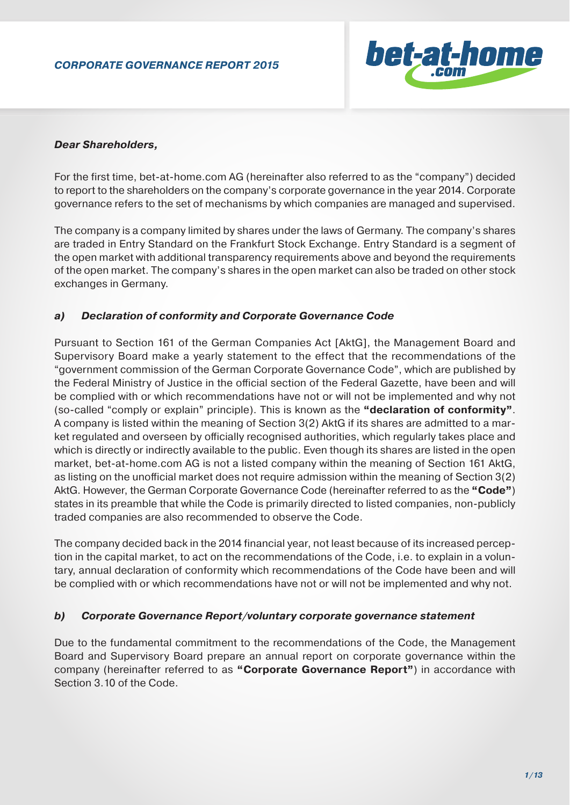

### *Dear Shareholders,*

For the first time, bet-at-home.com AG (hereinafter also referred to as the "company") decided to report to the shareholders on the company's corporate governance in the year 2014. Corporate governance refers to the set of mechanisms by which companies are managed and supervised.

The company is a company limited by shares under the laws of Germany. The company's shares are traded in Entry Standard on the Frankfurt Stock Exchange. Entry Standard is a segment of the open market with additional transparency requirements above and beyond the requirements of the open market. The company's shares in the open market can also be traded on other stock exchanges in Germany.

### *a) Declaration of conformity and Corporate Governance Code*

Pursuant to Section 161 of the German Companies Act [AktG], the Management Board and Supervisory Board make a yearly statement to the effect that the recommendations of the "government commission of the German Corporate Governance Code", which are published by the Federal Ministry of Justice in the official section of the Federal Gazette, have been and will be complied with or which recommendations have not or will not be implemented and why not (so-called "comply or explain" principle). This is known as the **"declaration of conformity"**. A company is listed within the meaning of Section 3(2) AktG if its shares are admitted to a market regulated and overseen by officially recognised authorities, which regularly takes place and which is directly or indirectly available to the public. Even though its shares are listed in the open market, bet-at-home.com AG is not a listed company within the meaning of Section 161 AktG, as listing on the unofficial market does not require admission within the meaning of Section 3(2) AktG. However, the German Corporate Governance Code (hereinafter referred to as the **"Code"**) states in its preamble that while the Code is primarily directed to listed companies, non-publicly traded companies are also recommended to observe the Code.

The company decided back in the 2014 financial year, not least because of its increased perception in the capital market, to act on the recommendations of the Code, i.e. to explain in a voluntary, annual declaration of conformity which recommendations of the Code have been and will be complied with or which recommendations have not or will not be implemented and why not.

#### *b) Corporate Governance Report/voluntary corporate governance statement*

Due to the fundamental commitment to the recommendations of the Code, the Management Board and Supervisory Board prepare an annual report on corporate governance within the company (hereinafter referred to as **"Corporate Governance Report"**) in accordance with Section 3.10 of the Code.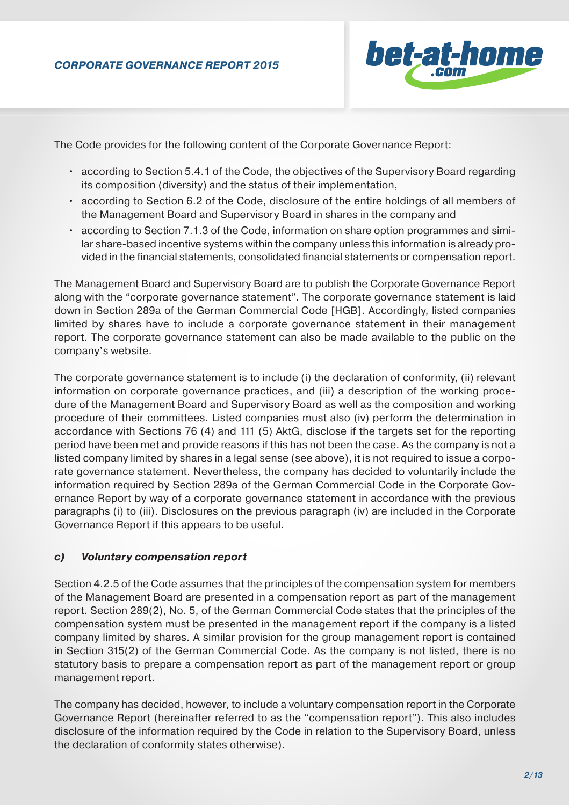

The Code provides for the following content of the Corporate Governance Report:

- according to Section 5.4.1 of the Code, the objectives of the Supervisory Board regarding its composition (diversity) and the status of their implementation,
- according to Section 6.2 of the Code, disclosure of the entire holdings of all members of the Management Board and Supervisory Board in shares in the company and
- according to Section 7.1.3 of the Code, information on share option programmes and simi lar share-based incentive systems within the company unless this information is already pro vided in the financial statements, consolidated financial statements or compensation report.

The Management Board and Supervisory Board are to publish the Corporate Governance Report along with the "corporate governance statement". The corporate governance statement is laid down in Section 289a of the German Commercial Code [HGB]. Accordingly, listed companies limited by shares have to include a corporate governance statement in their management report. The corporate governance statement can also be made available to the public on the company's website.

The corporate governance statement is to include (i) the declaration of conformity, (ii) relevant information on corporate governance practices, and (iii) a description of the working procedure of the Management Board and Supervisory Board as well as the composition and working procedure of their committees. Listed companies must also (iv) perform the determination in accordance with Sections 76 (4) and 111 (5) AktG, disclose if the targets set for the reporting period have been met and provide reasons if this has not been the case. As the company is not a listed company limited by shares in a legal sense (see above), it is not required to issue a corporate governance statement. Nevertheless, the company has decided to voluntarily include the information required by Section 289a of the German Commercial Code in the Corporate Governance Report by way of a corporate governance statement in accordance with the previous paragraphs (i) to (iii). Disclosures on the previous paragraph (iv) are included in the Corporate Governance Report if this appears to be useful.

## *c) Voluntary compensation report*

Section 4.2.5 of the Code assumes that the principles of the compensation system for members of the Management Board are presented in a compensation report as part of the management report. Section 289(2), No. 5, of the German Commercial Code states that the principles of the compensation system must be presented in the management report if the company is a listed company limited by shares. A similar provision for the group management report is contained in Section 315(2) of the German Commercial Code. As the company is not listed, there is no statutory basis to prepare a compensation report as part of the management report or group management report.

The company has decided, however, to include a voluntary compensation report in the Corporate Governance Report (hereinafter referred to as the "compensation report"). This also includes disclosure of the information required by the Code in relation to the Supervisory Board, unless the declaration of conformity states otherwise).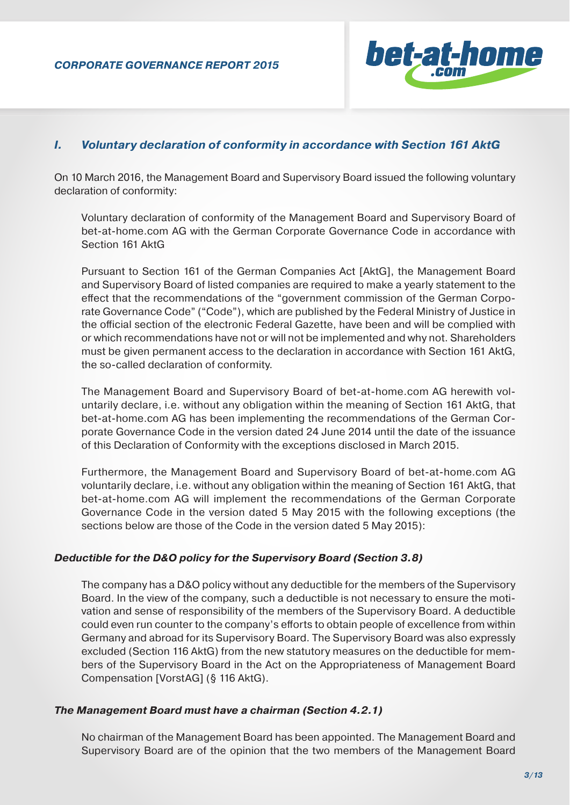

### *I. Voluntary declaration of conformity in accordance with Section 161 AktG*

On 10 March 2016, the Management Board and Supervisory Board issued the following voluntary declaration of conformity:

Voluntary declaration of conformity of the Management Board and Supervisory Board of bet-at-home.com AG with the German Corporate Governance Code in accordance with Section 161 AktG

Pursuant to Section 161 of the German Companies Act [AktG], the Management Board and Supervisory Board of listed companies are required to make a yearly statement to the effect that the recommendations of the "government commission of the German Corporate Governance Code" ("Code"), which are published by the Federal Ministry of Justice in the official section of the electronic Federal Gazette, have been and will be complied with or which recommendations have not or will not be implemented and why not. Shareholders must be given permanent access to the declaration in accordance with Section 161 AktG, the so-called declaration of conformity.

The Management Board and Supervisory Board of bet-at-home.com AG herewith voluntarily declare, i.e. without any obligation within the meaning of Section 161 AktG, that bet-at-home.com AG has been implementing the recommendations of the German Corporate Governance Code in the version dated 24 June 2014 until the date of the issuance of this Declaration of Conformity with the exceptions disclosed in March 2015.

Furthermore, the Management Board and Supervisory Board of bet-at-home.com AG voluntarily declare, i.e. without any obligation within the meaning of Section 161 AktG, that bet-at-home.com AG will implement the recommendations of the German Corporate Governance Code in the version dated 5 May 2015 with the following exceptions (the sections below are those of the Code in the version dated 5 May 2015):

#### *Deductible for the D&O policy for the Supervisory Board (Section 3.8)*

The company has a D&O policy without any deductible for the members of the Supervisory Board. In the view of the company, such a deductible is not necessary to ensure the motivation and sense of responsibility of the members of the Supervisory Board. A deductible could even run counter to the company's efforts to obtain people of excellence from within Germany and abroad for its Supervisory Board. The Supervisory Board was also expressly excluded (Section 116 AktG) from the new statutory measures on the deductible for members of the Supervisory Board in the Act on the Appropriateness of Management Board Compensation [VorstAG] (§ 116 AktG).

#### *The Management Board must have a chairman (Section 4.2.1)*

No chairman of the Management Board has been appointed. The Management Board and Supervisory Board are of the opinion that the two members of the Management Board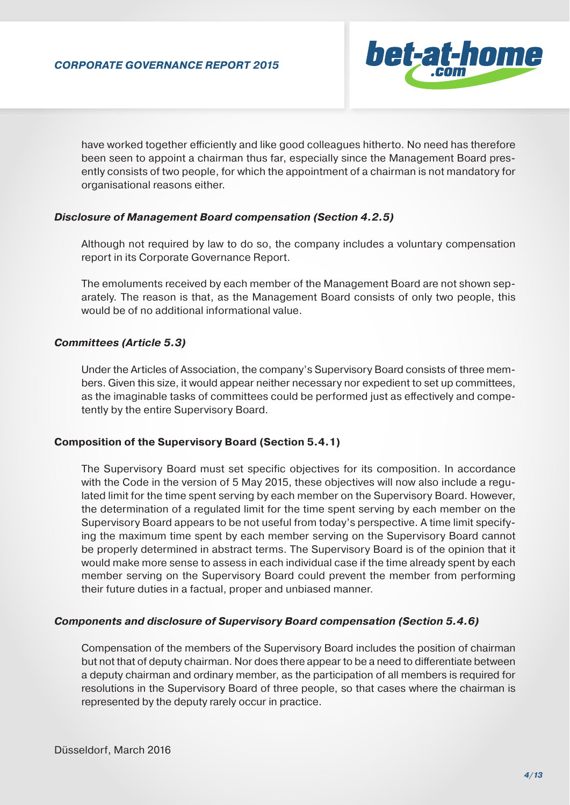

have worked together efficiently and like good colleagues hitherto. No need has therefore been seen to appoint a chairman thus far, especially since the Management Board presently consists of two people, for which the appointment of a chairman is not mandatory for organisational reasons either.

### *Disclosure of Management Board compensation (Section 4.2.5)*

Although not required by law to do so, the company includes a voluntary compensation report in its Corporate Governance Report.

The emoluments received by each member of the Management Board are not shown separately. The reason is that, as the Management Board consists of only two people, this would be of no additional informational value.

### *Committees (Article 5.3)*

Under the Articles of Association, the company's Supervisory Board consists of three members. Given this size, it would appear neither necessary nor expedient to set up committees, as the imaginable tasks of committees could be performed just as effectively and competently by the entire Supervisory Board.

#### **Composition of the Supervisory Board (Section 5.4.1)**

The Supervisory Board must set specific objectives for its composition. In accordance with the Code in the version of 5 May 2015, these objectives will now also include a regulated limit for the time spent serving by each member on the Supervisory Board. However, the determination of a regulated limit for the time spent serving by each member on the Supervisory Board appears to be not useful from today's perspective. A time limit specifying the maximum time spent by each member serving on the Supervisory Board cannot be properly determined in abstract terms. The Supervisory Board is of the opinion that it would make more sense to assess in each individual case if the time already spent by each member serving on the Supervisory Board could prevent the member from performing their future duties in a factual, proper and unbiased manner.

#### *Components and disclosure of Supervisory Board compensation (Section 5.4.6)*

Compensation of the members of the Supervisory Board includes the position of chairman but not that of deputy chairman. Nor does there appear to be a need to differentiate between a deputy chairman and ordinary member, as the participation of all members is required for resolutions in the Supervisory Board of three people, so that cases where the chairman is represented by the deputy rarely occur in practice.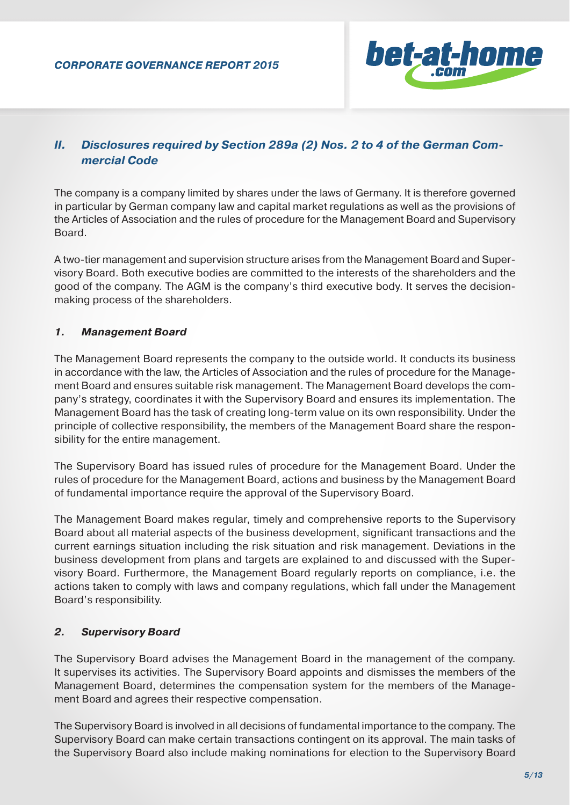

# *II. Disclosures required by Section 289a (2) Nos. 2 to 4 of the German Com mercial Code*

The company is a company limited by shares under the laws of Germany. It is therefore governed in particular by German company law and capital market regulations as well as the provisions of the Articles of Association and the rules of procedure for the Management Board and Supervisory Board.

A two-tier management and supervision structure arises from the Management Board and Supervisory Board. Both executive bodies are committed to the interests of the shareholders and the good of the company. The AGM is the company's third executive body. It serves the decisionmaking process of the shareholders.

### *1. Management Board*

The Management Board represents the company to the outside world. It conducts its business in accordance with the law, the Articles of Association and the rules of procedure for the Management Board and ensures suitable risk management. The Management Board develops the company's strategy, coordinates it with the Supervisory Board and ensures its implementation. The Management Board has the task of creating long-term value on its own responsibility. Under the principle of collective responsibility, the members of the Management Board share the responsibility for the entire management.

The Supervisory Board has issued rules of procedure for the Management Board. Under the rules of procedure for the Management Board, actions and business by the Management Board of fundamental importance require the approval of the Supervisory Board.

The Management Board makes regular, timely and comprehensive reports to the Supervisory Board about all material aspects of the business development, significant transactions and the current earnings situation including the risk situation and risk management. Deviations in the business development from plans and targets are explained to and discussed with the Supervisory Board. Furthermore, the Management Board regularly reports on compliance, i.e. the actions taken to comply with laws and company regulations, which fall under the Management Board's responsibility.

### *2. Supervisory Board*

The Supervisory Board advises the Management Board in the management of the company. It supervises its activities. The Supervisory Board appoints and dismisses the members of the Management Board, determines the compensation system for the members of the Management Board and agrees their respective compensation.

The Supervisory Board is involved in all decisions of fundamental importance to the company. The Supervisory Board can make certain transactions contingent on its approval. The main tasks of the Supervisory Board also include making nominations for election to the Supervisory Board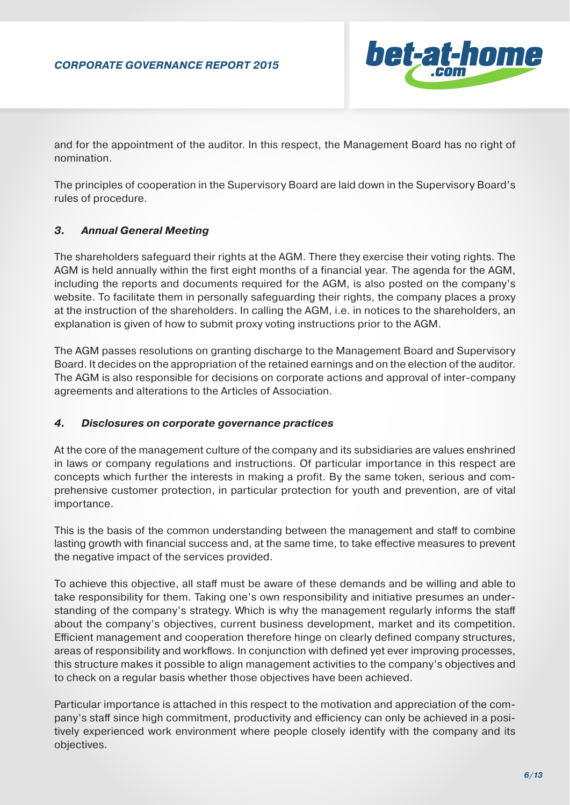

and for the appointment of the auditor. In this respect, the Management Board has no right of nomination.

The principles of cooperation in the Supervisory Board are laid down in the Supervisory Board's rules of procedure.

## *3. Annual General Meeting*

The shareholders safeguard their rights at the AGM. There they exercise their voting rights. The AGM is held annually within the first eight months of a financial year. The agenda for the AGM, including the reports and documents required for the AGM, is also posted on the company's website. To facilitate them in personally safeguarding their rights, the company places a proxy at the instruction of the shareholders. In calling the AGM, i.e. in notices to the shareholders, an explanation is given of how to submit proxy voting instructions prior to the AGM.

The AGM passes resolutions on granting discharge to the Management Board and Supervisory Board. It decides on the appropriation of the retained earnings and on the election of the auditor. The AGM is also responsible for decisions on corporate actions and approval of inter-company agreements and alterations to the Articles of Association.

### *4. Disclosures on corporate governance practices*

At the core of the management culture of the company and its subsidiaries are values enshrined in laws or company regulations and instructions. Of particular importance in this respect are concepts which further the interests in making a profit. By the same token, serious and comprehensive customer protection, in particular protection for youth and prevention, are of vital importance.

This is the basis of the common understanding between the management and staff to combine lasting growth with financial success and, at the same time, to take effective measures to prevent the negative impact of the services provided.

To achieve this objective, all staff must be aware of these demands and be willing and able to take responsibility for them. Taking one's own responsibility and initiative presumes an understanding of the company's strategy. Which is why the management regularly informs the staff about the company's objectives, current business development, market and its competition. Efficient management and cooperation therefore hinge on clearly defined company structures, areas of responsibility and workflows. In conjunction with defined yet ever improving processes, this structure makes it possible to align management activities to the company's objectives and to check on a regular basis whether those objectives have been achieved.

Particular importance is attached in this respect to the motivation and appreciation of the company's staff since high commitment, productivity and efficiency can only be achieved in a positively experienced work environment where people closely identify with the company and its objectives.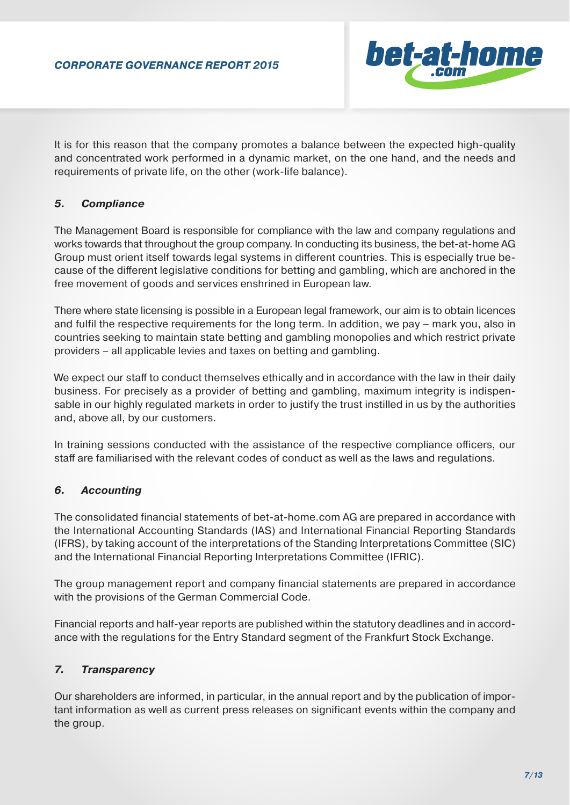

It is for this reason that the company promotes a balance between the expected high-quality and concentrated work performed in a dynamic market, on the one hand, and the needs and requirements of private life, on the other (work-life balance).

### *5. Compliance*

The Management Board is responsible for compliance with the law and company regulations and works towards that throughout the group company. In conducting its business, the bet-at-home AG Group must orient itself towards legal systems in different countries. This is especially true because of the different legislative conditions for betting and gambling, which are anchored in the free movement of goods and services enshrined in European law.

There where state licensing is possible in a European legal framework, our aim is to obtain licences and fulfil the respective requirements for the long term. In addition, we pay – mark you, also in countries seeking to maintain state betting and gambling monopolies and which restrict private providers – all applicable levies and taxes on betting and gambling.

We expect our staff to conduct themselves ethically and in accordance with the law in their daily business. For precisely as a provider of betting and gambling, maximum integrity is indispensable in our highly regulated markets in order to justify the trust instilled in us by the authorities and, above all, by our customers.

In training sessions conducted with the assistance of the respective compliance officers, our staff are familiarised with the relevant codes of conduct as well as the laws and regulations.

## *6. Accounting*

The consolidated financial statements of bet-at-home.com AG are prepared in accordance with the International Accounting Standards (IAS) and International Financial Reporting Standards (IFRS), by taking account of the interpretations of the Standing Interpretations Committee (SIC) and the International Financial Reporting Interpretations Committee (IFRIC).

The group management report and company financial statements are prepared in accordance with the provisions of the German Commercial Code.

Financial reports and half-year reports are published within the statutory deadlines and in accordance with the regulations for the Entry Standard segment of the Frankfurt Stock Exchange.

## *7. Transparency*

Our shareholders are informed, in particular, in the annual report and by the publication of important information as well as current press releases on significant events within the company and the group.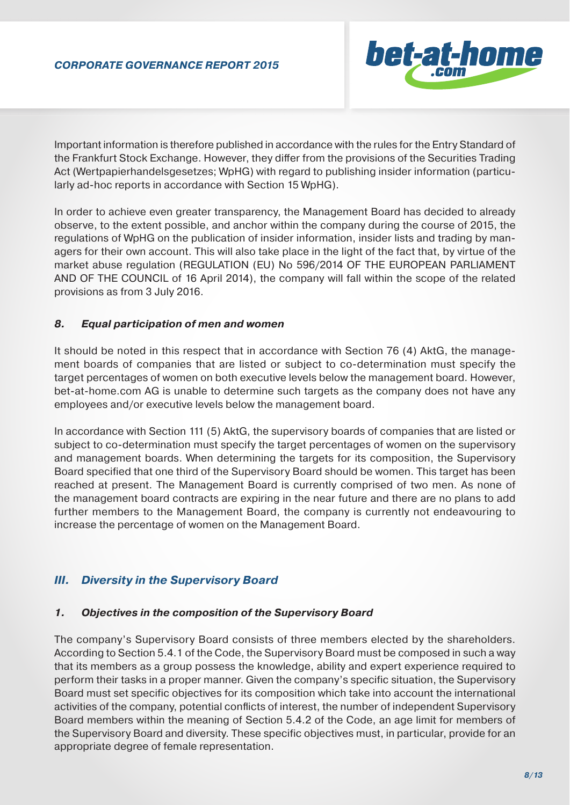

Important information is therefore published in accordance with the rules for the Entry Standard of the Frankfurt Stock Exchange. However, they differ from the provisions of the Securities Trading Act (Wertpapierhandelsgesetzes; WpHG) with regard to publishing insider information (particularly ad-hoc reports in accordance with Section 15 WpHG).

In order to achieve even greater transparency, the Management Board has decided to already observe, to the extent possible, and anchor within the company during the course of 2015, the regulations of WpHG on the publication of insider information, insider lists and trading by managers for their own account. This will also take place in the light of the fact that, by virtue of the market abuse regulation (REGULATION (EU) No 596/2014 OF THE EUROPEAN PARLIAMENT AND OF THE COUNCIL of 16 April 2014), the company will fall within the scope of the related provisions as from 3 July 2016.

## *8. Equal participation of men and women*

It should be noted in this respect that in accordance with Section 76 (4) AktG, the management boards of companies that are listed or subject to co-determination must specify the target percentages of women on both executive levels below the management board. However, bet-at-home.com AG is unable to determine such targets as the company does not have any employees and/or executive levels below the management board.

In accordance with Section 111 (5) AktG, the supervisory boards of companies that are listed or subject to co-determination must specify the target percentages of women on the supervisory and management boards. When determining the targets for its composition, the Supervisory Board specified that one third of the Supervisory Board should be women. This target has been reached at present. The Management Board is currently comprised of two men. As none of the management board contracts are expiring in the near future and there are no plans to add further members to the Management Board, the company is currently not endeavouring to increase the percentage of women on the Management Board.

## *III. Diversity in the Supervisory Board*

### *1. Objectives in the composition of the Supervisory Board*

The company's Supervisory Board consists of three members elected by the shareholders. According to Section 5.4.1 of the Code, the Supervisory Board must be composed in such a way that its members as a group possess the knowledge, ability and expert experience required to perform their tasks in a proper manner. Given the company's specific situation, the Supervisory Board must set specific objectives for its composition which take into account the international activities of the company, potential conflicts of interest, the number of independent Supervisory Board members within the meaning of Section 5.4.2 of the Code, an age limit for members of the Supervisory Board and diversity. These specific objectives must, in particular, provide for an appropriate degree of female representation.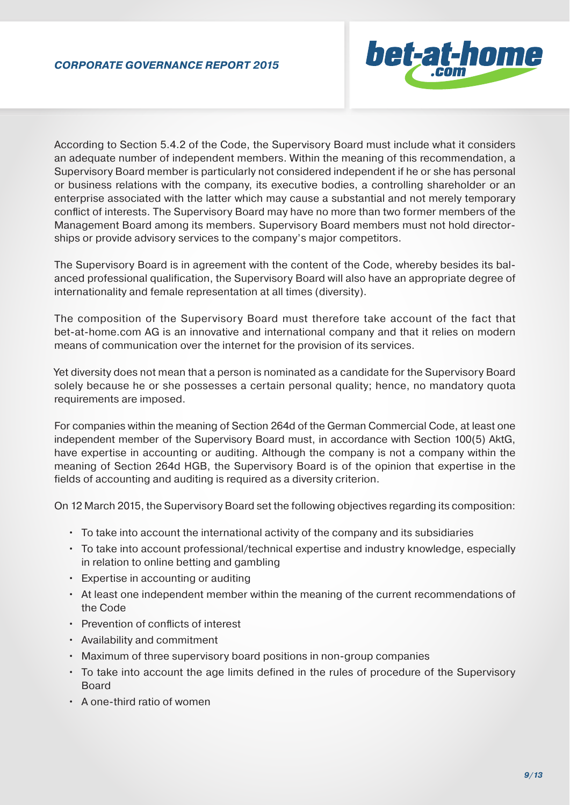

According to Section 5.4.2 of the Code, the Supervisory Board must include what it considers an adequate number of independent members. Within the meaning of this recommendation, a Supervisory Board member is particularly not considered independent if he or she has personal or business relations with the company, its executive bodies, a controlling shareholder or an enterprise associated with the latter which may cause a substantial and not merely temporary conflict of interests. The Supervisory Board may have no more than two former members of the Management Board among its members. Supervisory Board members must not hold directorships or provide advisory services to the company's major competitors.

The Supervisory Board is in agreement with the content of the Code, whereby besides its balanced professional qualification, the Supervisory Board will also have an appropriate degree of internationality and female representation at all times (diversity).

The composition of the Supervisory Board must therefore take account of the fact that bet-at-home.com AG is an innovative and international company and that it relies on modern means of communication over the internet for the provision of its services.

Yet diversity does not mean that a person is nominated as a candidate for the Supervisory Board solely because he or she possesses a certain personal quality; hence, no mandatory quota requirements are imposed.

For companies within the meaning of Section 264d of the German Commercial Code, at least one independent member of the Supervisory Board must, in accordance with Section 100(5) AktG, have expertise in accounting or auditing. Although the company is not a company within the meaning of Section 264d HGB, the Supervisory Board is of the opinion that expertise in the fields of accounting and auditing is required as a diversity criterion.

On 12 March 2015, the Supervisory Board set the following objectives regarding its composition:

- To take into account the international activity of the company and its subsidiaries
- To take into account professional/technical expertise and industry knowledge, especially in relation to online betting and gambling
- Expertise in accounting or auditing
- At least one independent member within the meaning of the current recommendations of the Code
- Prevention of conflicts of interest
- Availability and commitment
- Maximum of three supervisory board positions in non-group companies
- To take into account the age limits defined in the rules of procedure of the Supervisory Board
- A one-third ratio of women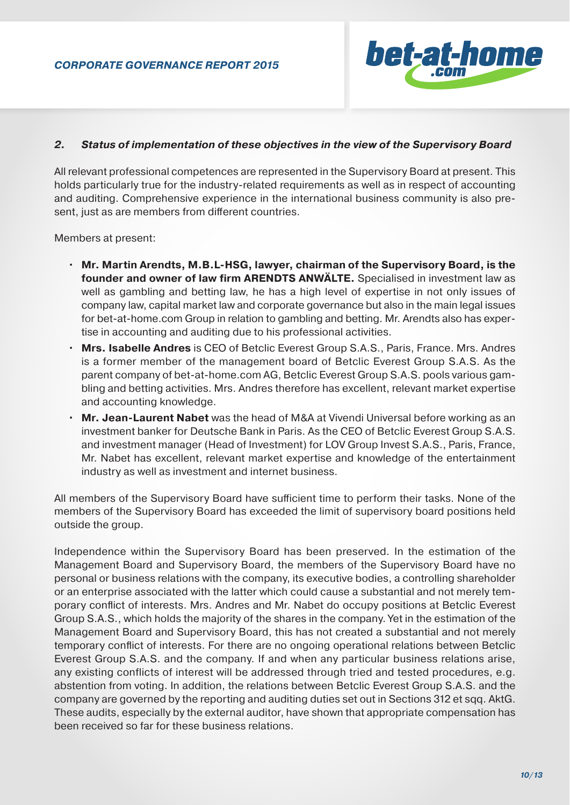

### *2. Status of implementation of these objectives in the view of the Supervisory Board*

All relevant professional competences are represented in the Supervisory Board at present. This holds particularly true for the industry-related requirements as well as in respect of accounting and auditing. Comprehensive experience in the international business community is also present, just as are members from different countries.

Members at present:

- **Mr. Martin Arendts, M.B.L-HSG, lawyer, chairman of the Supervisory Board, is the founder and owner of law firm ARENDTS ANWÄLTE.** Specialised in investment law as well as gambling and betting law, he has a high level of expertise in not only issues of company law, capital market law and corporate governance but also in the main legal issues for bet-at-home.com Group in relation to gambling and betting. Mr. Arendts also has exper tise in accounting and auditing due to his professional activities.
- **Mrs. Isabelle Andres** is CEO of Betclic Everest Group S.A.S., Paris, France. Mrs. Andres is a former member of the management board of Betclic Everest Group S.A.S. As the parent company of bet-at-home.com AG, Betclic Everest Group S.A.S. pools various gam bling and betting activities. Mrs. Andres therefore has excellent, relevant market expertise and accounting knowledge.
- **Mr. Jean-Laurent Nabet** was the head of M&A at Vivendi Universal before working as an investment banker for Deutsche Bank in Paris. As the CEO of Betclic Everest Group S.A.S. and investment manager (Head of Investment) for LOV Group Invest S.A.S., Paris, France, Mr. Nabet has excellent, relevant market expertise and knowledge of the entertainment industry as well as investment and internet business.

All members of the Supervisory Board have sufficient time to perform their tasks. None of the members of the Supervisory Board has exceeded the limit of supervisory board positions held outside the group.

Independence within the Supervisory Board has been preserved. In the estimation of the Management Board and Supervisory Board, the members of the Supervisory Board have no personal or business relations with the company, its executive bodies, a controlling shareholder or an enterprise associated with the latter which could cause a substantial and not merely temporary conflict of interests. Mrs. Andres and Mr. Nabet do occupy positions at Betclic Everest Group S.A.S., which holds the majority of the shares in the company. Yet in the estimation of the Management Board and Supervisory Board, this has not created a substantial and not merely temporary conflict of interests. For there are no ongoing operational relations between Betclic Everest Group S.A.S. and the company. If and when any particular business relations arise, any existing conflicts of interest will be addressed through tried and tested procedures, e.g. abstention from voting. In addition, the relations between Betclic Everest Group S.A.S. and the company are governed by the reporting and auditing duties set out in Sections 312 et sqq. AktG. These audits, especially by the external auditor, have shown that appropriate compensation has been received so far for these business relations.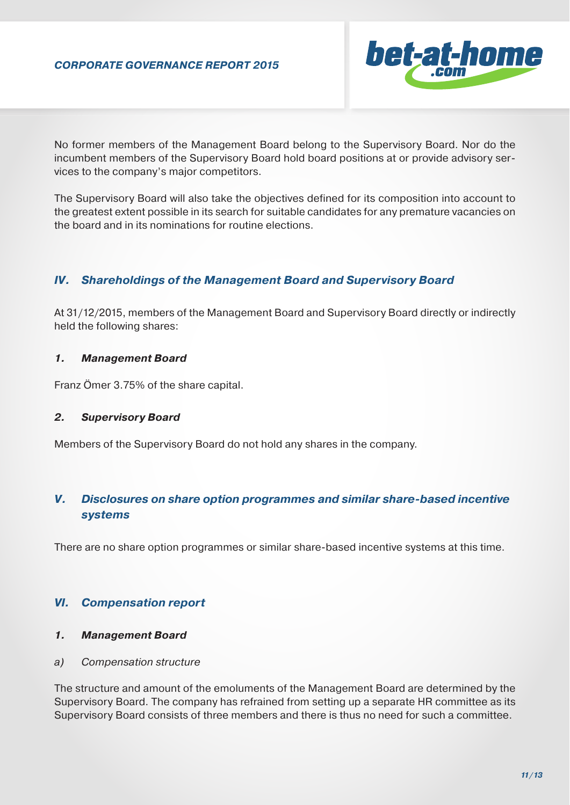

No former members of the Management Board belong to the Supervisory Board. Nor do the incumbent members of the Supervisory Board hold board positions at or provide advisory services to the company's major competitors.

The Supervisory Board will also take the objectives defined for its composition into account to the greatest extent possible in its search for suitable candidates for any premature vacancies on the board and in its nominations for routine elections.

## *IV. Shareholdings of the Management Board and Supervisory Board*

At 31/12/2015, members of the Management Board and Supervisory Board directly or indirectly held the following shares:

### *1. Management Board*

Franz Ömer 3.75% of the share capital.

### *2. Supervisory Board*

Members of the Supervisory Board do not hold any shares in the company.

# *V. Disclosures on share option programmes and similar share-based incentive systems*

There are no share option programmes or similar share-based incentive systems at this time.

### *VI. Compensation report*

### *1. Management Board*

*a) Compensation structure*

The structure and amount of the emoluments of the Management Board are determined by the Supervisory Board. The company has refrained from setting up a separate HR committee as its Supervisory Board consists of three members and there is thus no need for such a committee.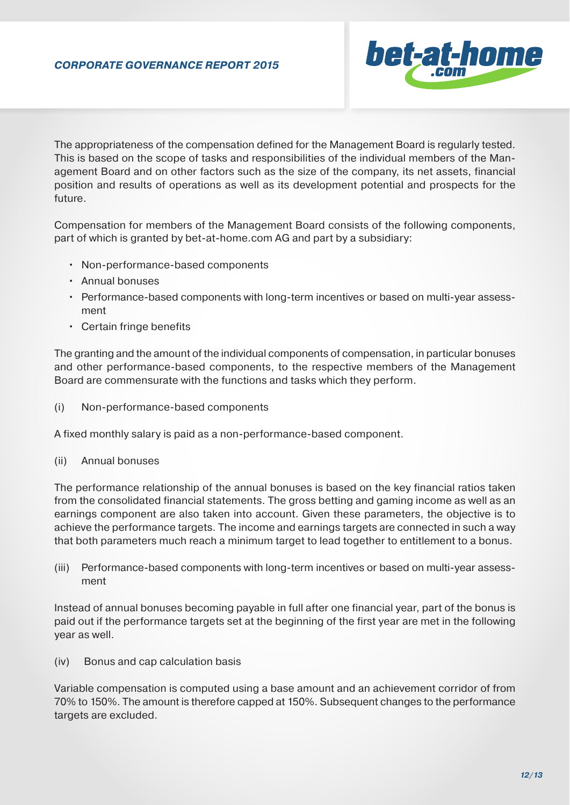

The appropriateness of the compensation defined for the Management Board is regularly tested. This is based on the scope of tasks and responsibilities of the individual members of the Management Board and on other factors such as the size of the company, its net assets, financial position and results of operations as well as its development potential and prospects for the future.

Compensation for members of the Management Board consists of the following components, part of which is granted by bet-at-home.com AG and part by a subsidiary:

- Non-performance-based components
- Annual bonuses
- Performance-based components with long-term incentives or based on multi-year assess ment
- Certain fringe benefits

The granting and the amount of the individual components of compensation, in particular bonuses and other performance-based components, to the respective members of the Management Board are commensurate with the functions and tasks which they perform.

(i) Non-performance-based components

A fixed monthly salary is paid as a non-performance-based component.

(ii) Annual bonuses

The performance relationship of the annual bonuses is based on the key financial ratios taken from the consolidated financial statements. The gross betting and gaming income as well as an earnings component are also taken into account. Given these parameters, the objective is to achieve the performance targets. The income and earnings targets are connected in such a way that both parameters much reach a minimum target to lead together to entitlement to a bonus.

(iii) Performance-based components with long-term incentives or based on multi-year assess ment

Instead of annual bonuses becoming payable in full after one financial year, part of the bonus is paid out if the performance targets set at the beginning of the first year are met in the following year as well.

(iv) Bonus and cap calculation basis

Variable compensation is computed using a base amount and an achievement corridor of from 70% to 150%. The amount is therefore capped at 150%. Subsequent changes to the performance targets are excluded.